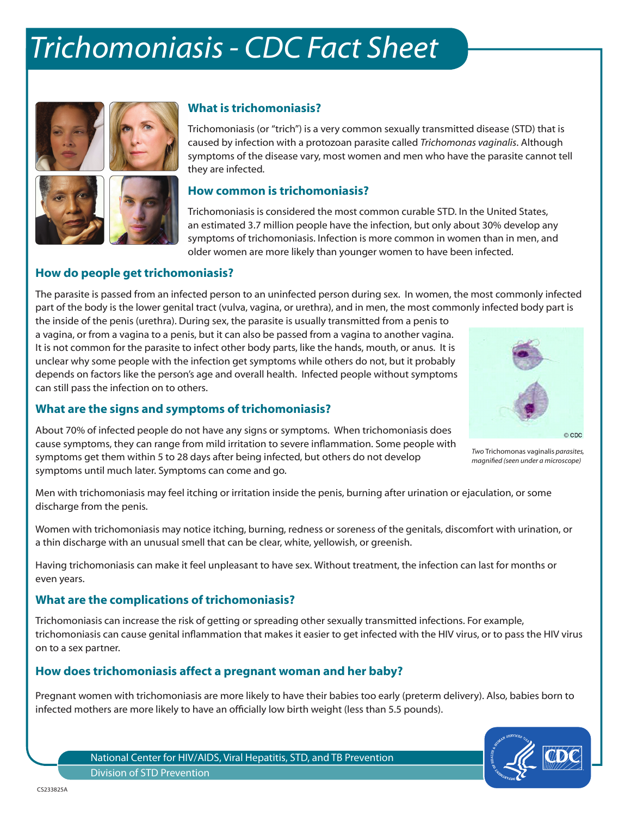# *Trichomoniasis - CDC Fact Sheet*





## **What is trichomoniasis?**

Trichomoniasis (or "trich") is a very common sexually transmitted disease (STD) that is caused by infection with a protozoan parasite called *Trichomonas vaginalis*. Although symptoms of the disease vary, most women and men who have the parasite cannot tell they are infected.

### **How common is trichomoniasis?**

Trichomoniasis is considered the most common curable STD. In the United States, an estimated 3.7 million people have the infection, but only about 30% develop any symptoms of trichomoniasis. Infection is more common in women than in men, and older women are more likely than younger women to have been infected.

## **How do people get trichomoniasis?**

The parasite is passed from an infected person to an uninfected person during sex. In women, the most commonly infected part of the body is the lower genital tract (vulva, vagina, or urethra), and in men, the most commonly infected body part is

the inside of the penis (urethra). During sex, the parasite is usually transmitted from a penis to a vagina, or from a vagina to a penis, but it can also be passed from a vagina to another vagina. It is not common for the parasite to infect other body parts, like the hands, mouth, or anus. It is unclear why some people with the infection get symptoms while others do not, but it probably depends on factors like the person's age and overall health. Infected people without symptoms can still pass the infection on to others.



*Two* Trichomonas vaginalis *parasites, magnified (seen under a microscope)*

#### **What are the signs and symptoms of trichomoniasis?**

About 70% of infected people do not have any signs or symptoms. When trichomoniasis does cause symptoms, they can range from mild irritation to severe inflammation. Some people with symptoms get them within 5 to 28 days after being infected, but others do not develop symptoms until much later. Symptoms can come and go.

Men with trichomoniasis may feel itching or irritation inside the penis, burning after urination or ejaculation, or some discharge from the penis.

Women with trichomoniasis may notice itching, burning, redness or soreness of the genitals, discomfort with urination, or a thin discharge with an unusual smell that can be clear, white, yellowish, or greenish.

Having trichomoniasis can make it feel unpleasant to have sex. Without treatment, the infection can last for months or even years.

## **What are the complications of trichomoniasis?**

Trichomoniasis can increase the risk of getting or spreading other sexually transmitted infections. For example, trichomoniasis can cause genital inflammation that makes it easier to get infected with the HIV virus, or to pass the HIV virus on to a sex partner.

## **How does trichomoniasis affect a pregnant woman and her baby?**

Pregnant women with trichomoniasis are more likely to have their babies too early (preterm delivery). Also, babies born to infected mothers are more likely to have an officially low birth weight (less than 5.5 pounds).